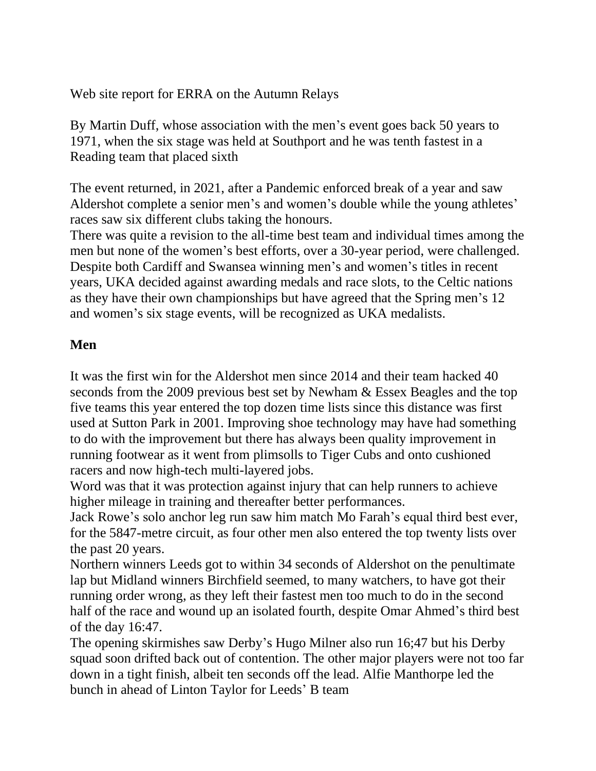Web site report for ERRA on the Autumn Relays

By Martin Duff, whose association with the men's event goes back 50 years to 1971, when the six stage was held at Southport and he was tenth fastest in a Reading team that placed sixth

The event returned, in 2021, after a Pandemic enforced break of a year and saw Aldershot complete a senior men's and women's double while the young athletes' races saw six different clubs taking the honours.

There was quite a revision to the all-time best team and individual times among the men but none of the women's best efforts, over a 30-year period, were challenged. Despite both Cardiff and Swansea winning men's and women's titles in recent years, UKA decided against awarding medals and race slots, to the Celtic nations as they have their own championships but have agreed that the Spring men's 12 and women's six stage events, will be recognized as UKA medalists.

## **Men**

It was the first win for the Aldershot men since 2014 and their team hacked 40 seconds from the 2009 previous best set by Newham & Essex Beagles and the top five teams this year entered the top dozen time lists since this distance was first used at Sutton Park in 2001. Improving shoe technology may have had something to do with the improvement but there has always been quality improvement in running footwear as it went from plimsolls to Tiger Cubs and onto cushioned racers and now high-tech multi-layered jobs.

Word was that it was protection against injury that can help runners to achieve higher mileage in training and thereafter better performances.

Jack Rowe's solo anchor leg run saw him match Mo Farah's equal third best ever, for the 5847-metre circuit, as four other men also entered the top twenty lists over the past 20 years.

Northern winners Leeds got to within 34 seconds of Aldershot on the penultimate lap but Midland winners Birchfield seemed, to many watchers, to have got their running order wrong, as they left their fastest men too much to do in the second half of the race and wound up an isolated fourth, despite Omar Ahmed's third best of the day 16:47.

The opening skirmishes saw Derby's Hugo Milner also run 16;47 but his Derby squad soon drifted back out of contention. The other major players were not too far down in a tight finish, albeit ten seconds off the lead. Alfie Manthorpe led the bunch in ahead of Linton Taylor for Leeds' B team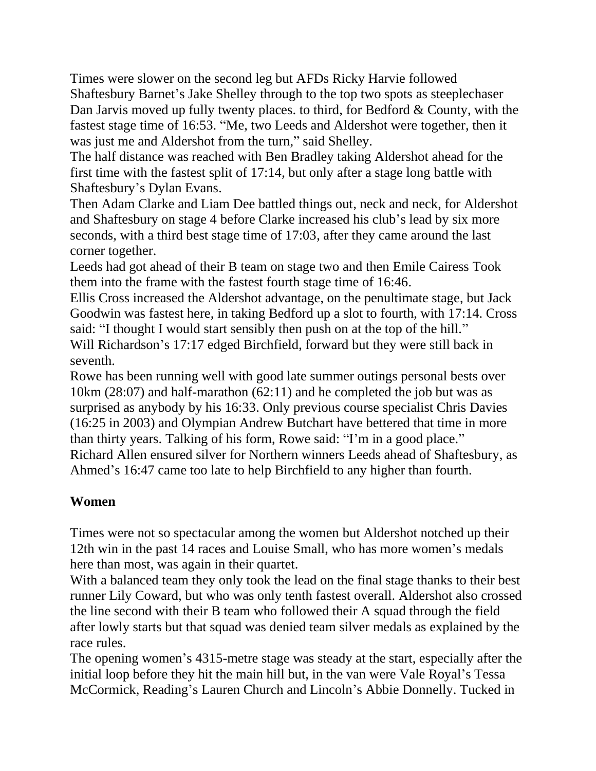Times were slower on the second leg but AFDs Ricky Harvie followed Shaftesbury Barnet's Jake Shelley through to the top two spots as steeplechaser Dan Jarvis moved up fully twenty places. to third, for Bedford & County, with the fastest stage time of 16:53. "Me, two Leeds and Aldershot were together, then it was just me and Aldershot from the turn," said Shelley.

The half distance was reached with Ben Bradley taking Aldershot ahead for the first time with the fastest split of 17:14, but only after a stage long battle with Shaftesbury's Dylan Evans.

Then Adam Clarke and Liam Dee battled things out, neck and neck, for Aldershot and Shaftesbury on stage 4 before Clarke increased his club's lead by six more seconds, with a third best stage time of 17:03, after they came around the last corner together.

Leeds had got ahead of their B team on stage two and then Emile Cairess Took them into the frame with the fastest fourth stage time of 16:46.

Ellis Cross increased the Aldershot advantage, on the penultimate stage, but Jack Goodwin was fastest here, in taking Bedford up a slot to fourth, with 17:14. Cross said: "I thought I would start sensibly then push on at the top of the hill." Will Richardson's 17:17 edged Birchfield, forward but they were still back in seventh.

Rowe has been running well with good late summer outings personal bests over 10km (28:07) and half-marathon (62:11) and he completed the job but was as surprised as anybody by his 16:33. Only previous course specialist Chris Davies (16:25 in 2003) and Olympian Andrew Butchart have bettered that time in more than thirty years. Talking of his form, Rowe said: "I'm in a good place." Richard Allen ensured silver for Northern winners Leeds ahead of Shaftesbury, as Ahmed's 16:47 came too late to help Birchfield to any higher than fourth.

## **Women**

Times were not so spectacular among the women but Aldershot notched up their 12th win in the past 14 races and Louise Small, who has more women's medals here than most, was again in their quartet.

With a balanced team they only took the lead on the final stage thanks to their best runner Lily Coward, but who was only tenth fastest overall. Aldershot also crossed the line second with their B team who followed their A squad through the field after lowly starts but that squad was denied team silver medals as explained by the race rules.

The opening women's 4315-metre stage was steady at the start, especially after the initial loop before they hit the main hill but, in the van were Vale Royal's Tessa McCormick, Reading's Lauren Church and Lincoln's Abbie Donnelly. Tucked in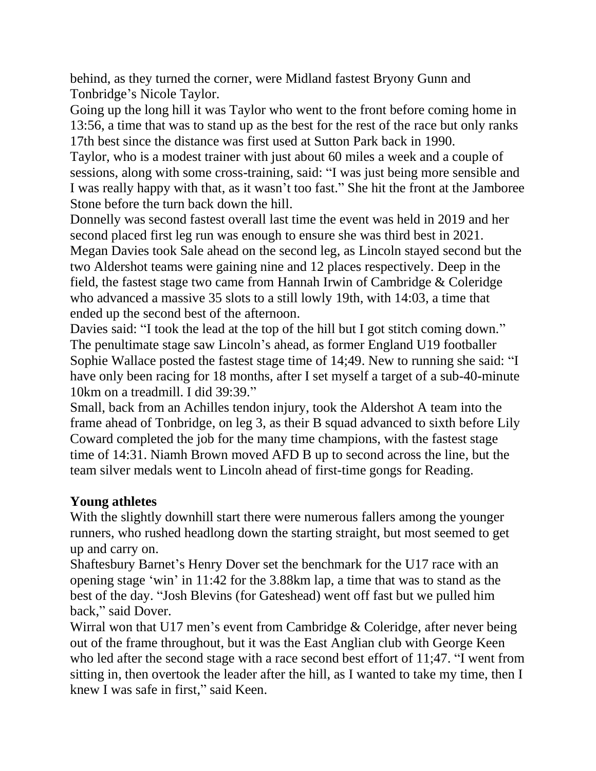behind, as they turned the corner, were Midland fastest Bryony Gunn and Tonbridge's Nicole Taylor.

Going up the long hill it was Taylor who went to the front before coming home in 13:56, a time that was to stand up as the best for the rest of the race but only ranks 17th best since the distance was first used at Sutton Park back in 1990.

Taylor, who is a modest trainer with just about 60 miles a week and a couple of sessions, along with some cross-training, said: "I was just being more sensible and I was really happy with that, as it wasn't too fast." She hit the front at the Jamboree Stone before the turn back down the hill.

Donnelly was second fastest overall last time the event was held in 2019 and her second placed first leg run was enough to ensure she was third best in 2021. Megan Davies took Sale ahead on the second leg, as Lincoln stayed second but the two Aldershot teams were gaining nine and 12 places respectively. Deep in the field, the fastest stage two came from Hannah Irwin of Cambridge & Coleridge who advanced a massive 35 slots to a still lowly 19th, with 14:03, a time that ended up the second best of the afternoon.

Davies said: "I took the lead at the top of the hill but I got stitch coming down." The penultimate stage saw Lincoln's ahead, as former England U19 footballer Sophie Wallace posted the fastest stage time of 14;49. New to running she said: "I have only been racing for 18 months, after I set myself a target of a sub-40-minute 10km on a treadmill. I did 39:39."

Small, back from an Achilles tendon injury, took the Aldershot A team into the frame ahead of Tonbridge, on leg 3, as their B squad advanced to sixth before Lily Coward completed the job for the many time champions, with the fastest stage time of 14:31. Niamh Brown moved AFD B up to second across the line, but the team silver medals went to Lincoln ahead of first-time gongs for Reading.

## **Young athletes**

With the slightly downhill start there were numerous fallers among the younger runners, who rushed headlong down the starting straight, but most seemed to get up and carry on.

Shaftesbury Barnet's Henry Dover set the benchmark for the U17 race with an opening stage 'win' in 11:42 for the 3.88km lap, a time that was to stand as the best of the day. "Josh Blevins (for Gateshead) went off fast but we pulled him back," said Dover.

Wirral won that U17 men's event from Cambridge & Coleridge, after never being out of the frame throughout, but it was the East Anglian club with George Keen who led after the second stage with a race second best effort of 11;47. "I went from sitting in, then overtook the leader after the hill, as I wanted to take my time, then I knew I was safe in first," said Keen.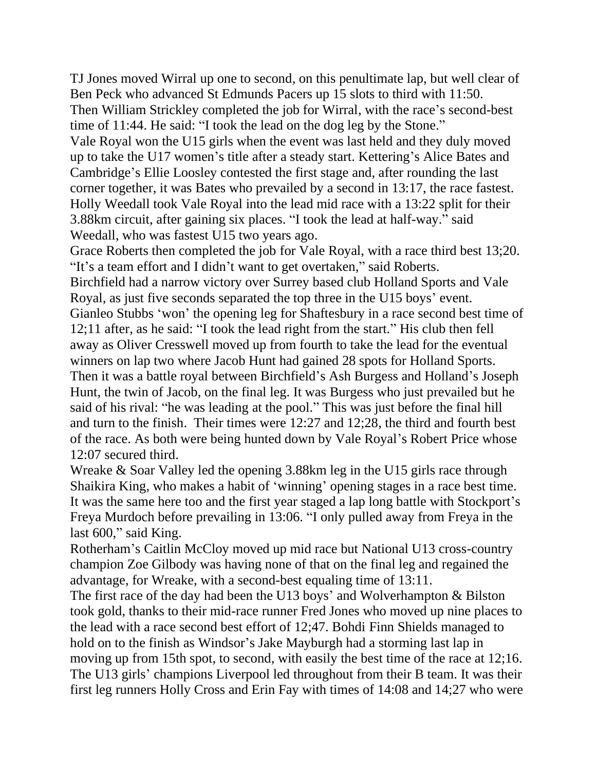TJ Jones moved Wirral up one to second, on this penultimate lap, but well clear of Ben Peck who advanced St Edmunds Pacers up 15 slots to third with 11:50. Then William Strickley completed the job for Wirral, with the race's second-best time of 11:44. He said: "I took the lead on the dog leg by the Stone." Vale Royal won the U15 girls when the event was last held and they duly moved up to take the U17 women's title after a steady start. Kettering's Alice Bates and Cambridge's Ellie Loosley contested the first stage and, after rounding the last corner together, it was Bates who prevailed by a second in 13:17, the race fastest. Holly Weedall took Vale Royal into the lead mid race with a 13:22 split for their 3.88km circuit, after gaining six places. "I took the lead at half-way." said Weedall, who was fastest U15 two years ago.

Grace Roberts then completed the job for Vale Royal, with a race third best 13;20. "It's a team effort and I didn't want to get overtaken," said Roberts.

Birchfield had a narrow victory over Surrey based club Holland Sports and Vale Royal, as just five seconds separated the top three in the U15 boys' event. Gianleo Stubbs 'won' the opening leg for Shaftesbury in a race second best time of 12;11 after, as he said: "I took the lead right from the start." His club then fell away as Oliver Cresswell moved up from fourth to take the lead for the eventual winners on lap two where Jacob Hunt had gained 28 spots for Holland Sports. Then it was a battle royal between Birchfield's Ash Burgess and Holland's Joseph Hunt, the twin of Jacob, on the final leg. It was Burgess who just prevailed but he said of his rival: "he was leading at the pool." This was just before the final hill and turn to the finish. Their times were 12:27 and 12;28, the third and fourth best of the race. As both were being hunted down by Vale Royal's Robert Price whose 12:07 secured third.

Wreake & Soar Valley led the opening 3.88km leg in the U15 girls race through Shaikira King, who makes a habit of 'winning' opening stages in a race best time. It was the same here too and the first year staged a lap long battle with Stockport's Freya Murdoch before prevailing in 13:06. "I only pulled away from Freya in the last 600," said King.

Rotherham's Caitlin McCloy moved up mid race but National U13 cross-country champion Zoe Gilbody was having none of that on the final leg and regained the advantage, for Wreake, with a second-best equaling time of 13:11.

The first race of the day had been the U13 boys' and Wolverhampton & Bilston took gold, thanks to their mid-race runner Fred Jones who moved up nine places to the lead with a race second best effort of 12;47. Bohdi Finn Shields managed to hold on to the finish as Windsor's Jake Mayburgh had a storming last lap in moving up from 15th spot, to second, with easily the best time of the race at 12;16. The U13 girls' champions Liverpool led throughout from their B team. It was their first leg runners Holly Cross and Erin Fay with times of 14:08 and 14;27 who were